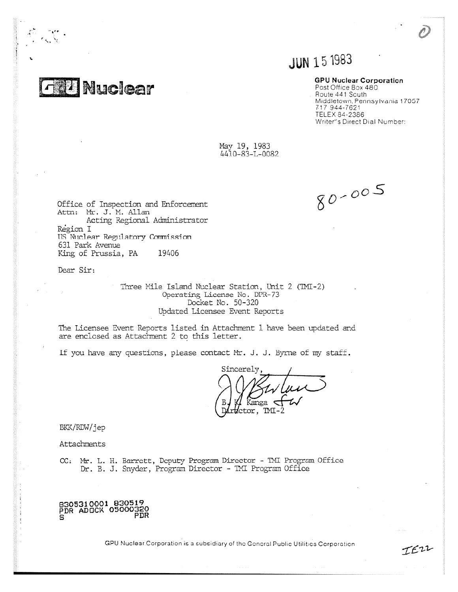**EU Nuclear** 

r

# **JUN 15 1983**

## GPU Nuclear Corporation

Post Office Box 480 . Route 441 South Middletown, Pennsylvania 17057 7-17 944-7621 TELEX 84-2386 Writer's Direct Dial Number:

May 19, 1983 4410-23-L-008?

Office of Inspection and Enforcement  $80 - 005$ 

IEZZ

Attn: Mr. J. M. Allan Acting Regional Administrator Region I US Nuclear Regulatory Counission 631 Park Avenue King of Prussia, PA 19406

Dear Sir:

Three Mile Island Nuclear Station, Unit 2 (TMI-2) Operating License No. DPR- 73 Docket No. 50-320 Updated Licensee Event Reports

The Licensee Event Reports listed in Attachment 1 have been updated and are enclosed as Attachment 2 to this letter.

If you have any questions, please contact  $Mr. J. J.$  Byrne of my staff.

Sincerely, Kanga  $\triangleleft$ tor, TMI-

BKK/RDW/jep

Attachments

CC: Mr. L. H. Barrett, Deputy Program Director - TMI Program Office Dr. B. J. Snyder, Program Director - IMI Program Office

8305310001 830519 PDR ADOCK 05000320 PDR

GPU Nuclear Corporation is a subsidiary of the General Public Utilities Corporation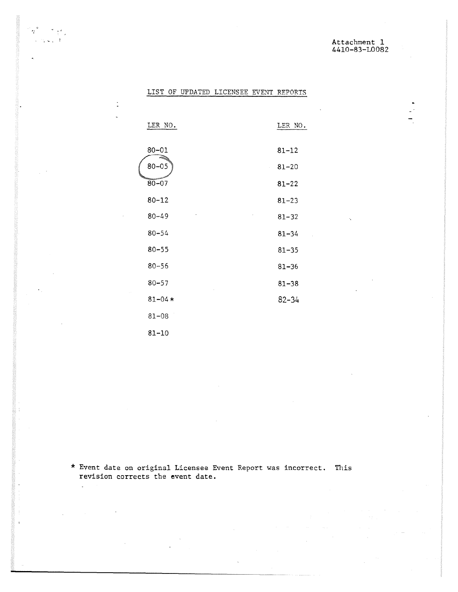## Attachment 1 4410-83-L0082

## LIST OF UPDATED LICENSEE EVENT REPORTS

 $\epsilon_{\rm f}$ 

 $\gamma_{\rm c} \approx \gamma_{\rm c} = 1$ 

 $\ddot{\phantom{a}}$ 

 $\ddot{\phantom{a}}$ 

| LER NO.        | LER NO.   |
|----------------|-----------|
|                |           |
| $80 - 01$      | $81 - 12$ |
| $80 - 05$      | $81 - 20$ |
| $80 - 07$      | $81 - 22$ |
| $80 - 12$      | $81 - 23$ |
| ,<br>$80 - 49$ | $81 - 32$ |
| $80 - 54$      | $81 - 34$ |
| $80 - 55$      | $81 - 35$ |
| $80 - 56$      | $81 - 36$ |
| $80 - 57$      | $81 - 38$ |
| $81 - 04*$     | 82-34     |
| $81 - 08$      |           |
| 81-10          |           |

\* Event date on original Licensee Event Report was incorrect. This revision corrects the event date.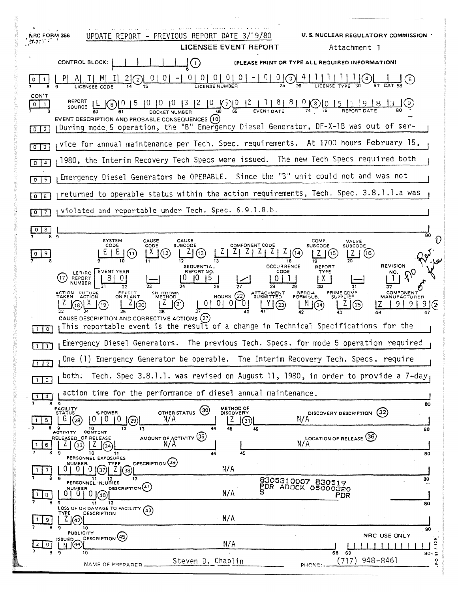| <b>NRC FORM 366</b><br>77777                                                                                                                                                                                                                                                                                                                                                                                               | <b>U.S. NUCLEAR REGULATORY COMMISSION</b><br>UPDATE REPORT - PREVIOUS REPORT DATE 3/19/80<br><b>LICENSEE EVENT REPORT</b><br>Attachment 1                                                                                                                                                                                                                                                                                                                                                                                                                                                                                                                               |
|----------------------------------------------------------------------------------------------------------------------------------------------------------------------------------------------------------------------------------------------------------------------------------------------------------------------------------------------------------------------------------------------------------------------------|-------------------------------------------------------------------------------------------------------------------------------------------------------------------------------------------------------------------------------------------------------------------------------------------------------------------------------------------------------------------------------------------------------------------------------------------------------------------------------------------------------------------------------------------------------------------------------------------------------------------------------------------------------------------------|
|                                                                                                                                                                                                                                                                                                                                                                                                                            | <b>CONTROL BLOCK:</b><br>$\left( \begin{matrix} 1 \end{matrix} \right)$<br>(PLEASE PRINT OR TYPE ALL REQUIRED INFORMATION)                                                                                                                                                                                                                                                                                                                                                                                                                                                                                                                                              |
|                                                                                                                                                                                                                                                                                                                                                                                                                            | 0 0 0 0 0 0 0 - 0 0 0 0 0<br>$\left( 2\right)$                                                                                                                                                                                                                                                                                                                                                                                                                                                                                                                                                                                                                          |
| CON'T<br>REPORT<br>$\underbrace{0 \mid 0 \mid 0 \mid 3 \mid 2 \mid 0}_{\text{DOCKET NUMBER}} \underbrace{0 \mid 0 \mid 2 \mid 1 \mid 8 \mid 8 \mid 0}_{\text{69}} \underbrace{0 \mid 5 \mid 1}_{\text{EVENT DATE}}$<br>$0 \mid 1$<br>SOURCE $\lfloor L \rfloor$ (6)<br>EVENT DESCRIPTION AND PROBABLE CONSEQUENCES (10)<br>During mode 5 operation, the "B" Emergency Diesel Generator, DF-X-1B was out of ser-<br>$0$   2 |                                                                                                                                                                                                                                                                                                                                                                                                                                                                                                                                                                                                                                                                         |
| vice for annual maintenance per Tech. Spec. requirements. At 1700 hours February 15,<br>0 <sup>13</sup>                                                                                                                                                                                                                                                                                                                    |                                                                                                                                                                                                                                                                                                                                                                                                                                                                                                                                                                                                                                                                         |
| $0 \mid 4$                                                                                                                                                                                                                                                                                                                                                                                                                 | 1980, the Interim Recovery Tech Specs were issued. The new Tech Specs required both                                                                                                                                                                                                                                                                                                                                                                                                                                                                                                                                                                                     |
| Emergency Diesel Generators be OPERABLE. Since the "B" unit could not and was not<br>$0$ 5                                                                                                                                                                                                                                                                                                                                 |                                                                                                                                                                                                                                                                                                                                                                                                                                                                                                                                                                                                                                                                         |
| returned to operable status within the action requirements, Tech. Spec. 3.8.1.1.a was<br>$0$ $6$                                                                                                                                                                                                                                                                                                                           |                                                                                                                                                                                                                                                                                                                                                                                                                                                                                                                                                                                                                                                                         |
| violated and reportable under Tech. Spec. 6.9.1.8.b.<br>017                                                                                                                                                                                                                                                                                                                                                                |                                                                                                                                                                                                                                                                                                                                                                                                                                                                                                                                                                                                                                                                         |
| $0 \mid 8$                                                                                                                                                                                                                                                                                                                                                                                                                 |                                                                                                                                                                                                                                                                                                                                                                                                                                                                                                                                                                                                                                                                         |
| 8<br>$\mathbf{q}$                                                                                                                                                                                                                                                                                                                                                                                                          | 80<br><b>SYSTEM</b><br>CAUSE<br>CAUSE<br>COMP.<br>VALVE<br><b>COMPONENT CODE</b><br>SUBCODE<br>CODE<br>CODE<br><b>SUBCODE</b><br><b>SUBCODE</b><br>13<br>(11)<br>(16                                                                                                                                                                                                                                                                                                                                                                                                                                                                                                    |
| $\circ$                                                                                                                                                                                                                                                                                                                                                                                                                    | <b>REVISION</b><br><b>OCCURRENCE</b><br><b>SEQUENTIAL</b><br><b>REPORT</b><br><b>EVENT YEAR</b><br>REPORT NO.<br>cope<br><b>TYPE</b><br>NO.<br>LER/RO  <br>5<br>17<br>REPORT<br>X<br>NUMBER<br>26<br>28<br>PRIME COMP.<br>ACTION FUTURE<br>TAKEN ACTION<br>NPRD-4<br>FORM SUB<br>COMPONENT<br>EFFECT<br>ON PLANT<br><b>SHUTDOWN</b><br><b>ATTACHMENT</b><br>HOURS $(22)$<br>METHOD<br><b>SUPPLIER</b><br><b>MANUFACTUREF</b><br>$\begin{array}{c} 01 & 01 \end{array}$<br>$\overline{0}$<br>(21)<br>9(2<br>(23)<br>(24)<br>(25)<br>CAUSE DESCRIPTION AND CORRECTIVE ACTIONS (27)<br>This reportable event is the result of a change in Technical Specifications for the |
| Emergency Diesel Generators. The previous Tech. Specs. for mode 5 operation required<br>111                                                                                                                                                                                                                                                                                                                                |                                                                                                                                                                                                                                                                                                                                                                                                                                                                                                                                                                                                                                                                         |
| One (1) Emergency Generator be operable. The Interim Recovery Tech. Specs. require<br>$1 \mid 2 \mid$                                                                                                                                                                                                                                                                                                                      |                                                                                                                                                                                                                                                                                                                                                                                                                                                                                                                                                                                                                                                                         |
| Tech. Spec 3.8.1.1, was revised on August 11, 1980, in order to provide a 7-day<br>both.<br>$1 \mid 3$                                                                                                                                                                                                                                                                                                                     |                                                                                                                                                                                                                                                                                                                                                                                                                                                                                                                                                                                                                                                                         |
| action time for the performance of diesel annual maintenance.<br>$\overline{4}$<br>$\mathbf{1}$<br>89                                                                                                                                                                                                                                                                                                                      |                                                                                                                                                                                                                                                                                                                                                                                                                                                                                                                                                                                                                                                                         |
| 5.                                                                                                                                                                                                                                                                                                                                                                                                                         | 80<br>METHOD OF<br>DISCOVERY<br><b>FACILITY</b><br>STATUS<br>OTHER STATUS (30)<br>(32)<br>% POWER<br>DISCOVERY DESCRIPTION<br>N/A<br>N/A<br>$^{(29)}$<br>(31)<br>10<br>45<br>$12 \,$<br>13<br>46<br>80                                                                                                                                                                                                                                                                                                                                                                                                                                                                  |
| 6                                                                                                                                                                                                                                                                                                                                                                                                                          | CONTENT<br><b>ACTIVITY</b><br>AMOUNT OF ACTIVITY (35)<br>LOCATION OF RELEASE (36)<br>RELEASED OF RELEASE<br>N/A<br>N/A<br>(33)<br>l(34)<br>45<br>10<br>11<br>80<br>PERSONNEL EXPOSURES                                                                                                                                                                                                                                                                                                                                                                                                                                                                                  |
| 7.                                                                                                                                                                                                                                                                                                                                                                                                                         | DESCRIPTION (39)<br><b>NUMBER</b><br><b>TYPE</b><br>N/A<br>- 0 -<br>- 0<br>$ (37) $ Z $ (38)$                                                                                                                                                                                                                                                                                                                                                                                                                                                                                                                                                                           |
| 8<br>8                                                                                                                                                                                                                                                                                                                                                                                                                     | -9<br>13<br>80<br>8305310007 830519<br>PERSONNEL INJURIES<br>PDR ADOCK 05000320<br>DESCRIPTION(41)<br>N/A<br>$01010$ $(a)$<br>PDR                                                                                                                                                                                                                                                                                                                                                                                                                                                                                                                                       |
| 8                                                                                                                                                                                                                                                                                                                                                                                                                          | - 9<br>12<br>11<br>80<br>LOSS OF OR DAMAGE TO FACILITY (43)<br>DESCRIPTION<br>TYPE<br>N/A<br>42<br>10                                                                                                                                                                                                                                                                                                                                                                                                                                                                                                                                                                   |
| $\mathbf{z}$<br>$\Omega$<br>8                                                                                                                                                                                                                                                                                                                                                                                              | 80<br><b>PUBLICITY</b><br>NRC USE ONLY<br>DESCRIPTION (45)<br>o.<br>ISSUED_<br>N/A<br>$7 - 32$<br>(44)<br>- 9<br>10<br>68 69                                                                                                                                                                                                                                                                                                                                                                                                                                                                                                                                            |
|                                                                                                                                                                                                                                                                                                                                                                                                                            | 80.5<br>(717)<br>948-8461<br>Steven D, Chaplin<br>$\circ$<br>NAME OF PREPARER.<br>یو<br>PHONE:                                                                                                                                                                                                                                                                                                                                                                                                                                                                                                                                                                          |